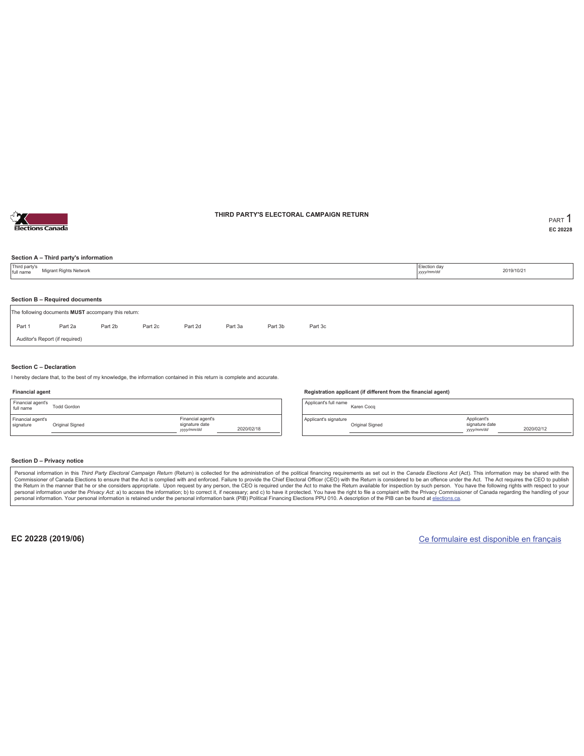

### **THIRD PARTY'S ELECTORAL CAMPAIGN RETURN PART** 1

**EC 20228**

### **Section A – Third party's information**

| Third party's<br>full name | Election day<br>Migrant Rights Network<br>2019/10/21<br>yyyy/mm/dd                    |         |         |         |         |         |         |  |  |  |  |  |
|----------------------------|---------------------------------------------------------------------------------------|---------|---------|---------|---------|---------|---------|--|--|--|--|--|
|                            |                                                                                       |         |         |         |         |         |         |  |  |  |  |  |
|                            | Section B - Required documents<br>The following documents MUST accompany this return: |         |         |         |         |         |         |  |  |  |  |  |
| Part 1                     | Part 2a                                                                               | Part 2b | Part 2c | Part 2d | Part 3a | Part 3b | Part 3c |  |  |  |  |  |
|                            | Auditor's Report (if required)                                                        |         |         |         |         |         |         |  |  |  |  |  |
|                            |                                                                                       |         |         |         |         |         |         |  |  |  |  |  |

### **Section C – Declaration**

I hereby declare that, to the best of my knowledge, the information contained in this return is complete and accurate.

#### **Financial agent**

| Financial agent's<br>full name | <b>Todd Gordon</b> |                                                  |            |
|--------------------------------|--------------------|--------------------------------------------------|------------|
| Financial agent's<br>signature | Original Signed    | Financial agent's<br>signature date<br>yyy/mm/dd | 2020/02/18 |

#### **Registration applicant (if different from the financial agent)**

Applicant's full name<br>
Karen Cocq Applicant's signature Original Signed Applicant's signature date *yyyy/mm/dd* 2020/02/12

#### **Section D – Privacy notice**

Personal information in this Third Party Electoral Campaign Return (Return) is collected for the administration of the political financing requirements as set out in the Canada Elections Act (Act). This information may be Commissioner of Canada Elections to ensure that the Act is complied with and enforced. Failure to provide the Chief Electoral Officer (CEO) with the Return is considered to be an offence under the Act. The Act requires the personal information. Your personal information is retained under the personal information bank (PIB) Political Financing Elections PPU 010. A description of the PIB can be found at elections.ca.

**EC 20228 (2019/06)** Ce formulaire est disponible en français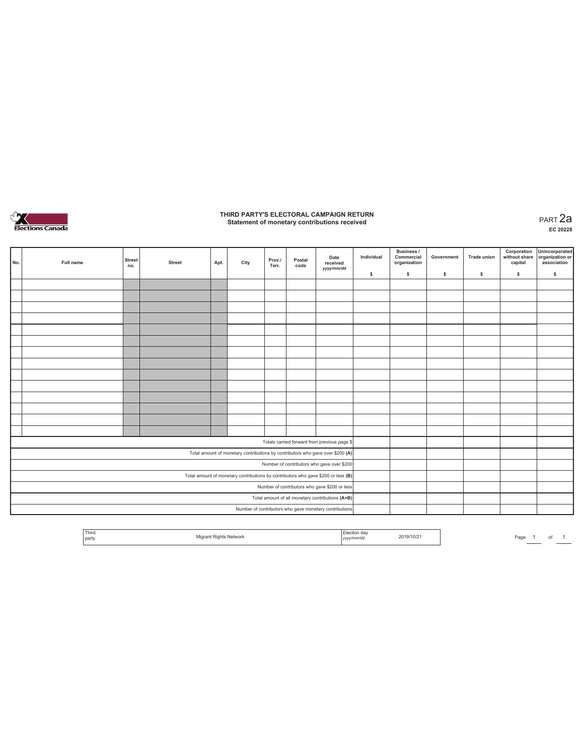

## **THIRD PARTY'S ELECTORAL CAMPAIGN RETURN Statement of monetary contributions received** PART 2a

| No.                                                                               | Full name | <b>Street</b><br>no. | <b>Street</b> | Apt. | City | Prov./<br>Terr. | Postal<br>code | Date<br>received<br>yyyy/mm/dd                                                 | Individual | <b>Business /</b><br>Commercial<br>organization | Government | <b>Trade union</b> | Corporation<br>capital | Unincorporated<br>without share organization or<br>association |
|-----------------------------------------------------------------------------------|-----------|----------------------|---------------|------|------|-----------------|----------------|--------------------------------------------------------------------------------|------------|-------------------------------------------------|------------|--------------------|------------------------|----------------------------------------------------------------|
|                                                                                   |           |                      |               |      |      |                 |                |                                                                                | \$         | \$                                              | s          | \$                 | \$                     | \$                                                             |
|                                                                                   |           |                      |               |      |      |                 |                |                                                                                |            |                                                 |            |                    |                        |                                                                |
|                                                                                   |           |                      |               |      |      |                 |                |                                                                                |            |                                                 |            |                    |                        |                                                                |
|                                                                                   |           |                      |               |      |      |                 |                |                                                                                |            |                                                 |            |                    |                        |                                                                |
|                                                                                   |           |                      |               |      |      |                 |                |                                                                                |            |                                                 |            |                    |                        |                                                                |
|                                                                                   |           |                      |               |      |      |                 |                |                                                                                |            |                                                 |            |                    |                        |                                                                |
|                                                                                   |           |                      |               |      |      |                 |                |                                                                                |            |                                                 |            |                    |                        |                                                                |
|                                                                                   |           |                      |               |      |      |                 |                |                                                                                |            |                                                 |            |                    |                        |                                                                |
|                                                                                   |           |                      |               |      |      |                 |                |                                                                                |            |                                                 |            |                    |                        |                                                                |
|                                                                                   |           |                      |               |      |      |                 |                |                                                                                |            |                                                 |            |                    |                        |                                                                |
|                                                                                   |           |                      |               |      |      |                 |                |                                                                                |            |                                                 |            |                    |                        |                                                                |
|                                                                                   |           |                      |               |      |      |                 |                |                                                                                |            |                                                 |            |                    |                        |                                                                |
|                                                                                   |           |                      |               |      |      |                 |                |                                                                                |            |                                                 |            |                    |                        |                                                                |
|                                                                                   |           |                      |               |      |      |                 |                |                                                                                |            |                                                 |            |                    |                        |                                                                |
|                                                                                   |           |                      |               |      |      |                 |                |                                                                                |            |                                                 |            |                    |                        |                                                                |
|                                                                                   |           |                      |               |      |      |                 |                | Totals carried forward from previous page \$                                   |            |                                                 |            |                    |                        |                                                                |
|                                                                                   |           |                      |               |      |      |                 |                | Total amount of monetary contributions by contributors who gave over \$200 (A) |            |                                                 |            |                    |                        |                                                                |
| Number of contributors who gave over \$200                                        |           |                      |               |      |      |                 |                |                                                                                |            |                                                 |            |                    |                        |                                                                |
| Total amount of monetary contributions by contributors who gave \$200 or less (B) |           |                      |               |      |      |                 |                |                                                                                |            |                                                 |            |                    |                        |                                                                |
| Number of contributors who gave \$200 or less                                     |           |                      |               |      |      |                 |                |                                                                                |            |                                                 |            |                    |                        |                                                                |
|                                                                                   |           |                      |               |      |      |                 |                | Total amount of all monetary contributions (A+B)                               |            |                                                 |            |                    |                        |                                                                |
|                                                                                   |           |                      |               |      |      |                 |                | Number of contributors who gave monetary contributions                         |            |                                                 |            |                    |                        |                                                                |

| <sup>1</sup> Third<br>party |  | Network | .<br>,,,,,,,,,<br>,,,,, | 2019/10/2 | Page |  |  |  |
|-----------------------------|--|---------|-------------------------|-----------|------|--|--|--|
|-----------------------------|--|---------|-------------------------|-----------|------|--|--|--|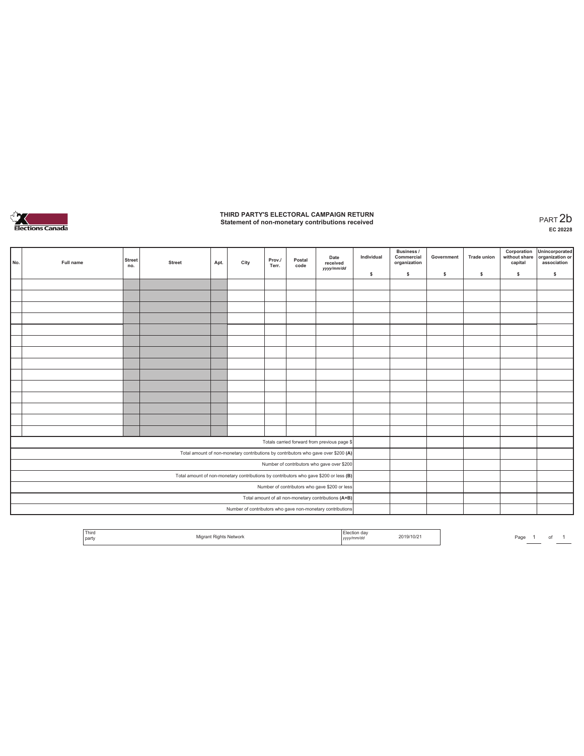

# **THIRD PARTY'S ELECTORAL CAMPAIGN RETURN Statement of non-monetary contributions received** PART 2b

| No.                                           | Full name | <b>Street</b><br>no. | <b>Street</b> | Apt. | City | Prov./<br>Terr. | Postal<br>code | Date<br>received<br>yyyy/mm/dd                                                        | Individual | Business /<br>Commercial<br>organization | Government | <b>Trade union</b> | Corporation<br>without share<br>capital | Unincorporated<br>organization or<br>association |
|-----------------------------------------------|-----------|----------------------|---------------|------|------|-----------------|----------------|---------------------------------------------------------------------------------------|------------|------------------------------------------|------------|--------------------|-----------------------------------------|--------------------------------------------------|
|                                               |           |                      |               |      |      |                 |                |                                                                                       | \$         | $\mathbb S$                              | \$         | \$                 | \$                                      | \$                                               |
|                                               |           |                      |               |      |      |                 |                |                                                                                       |            |                                          |            |                    |                                         |                                                  |
|                                               |           |                      |               |      |      |                 |                |                                                                                       |            |                                          |            |                    |                                         |                                                  |
|                                               |           |                      |               |      |      |                 |                |                                                                                       |            |                                          |            |                    |                                         |                                                  |
|                                               |           |                      |               |      |      |                 |                |                                                                                       |            |                                          |            |                    |                                         |                                                  |
|                                               |           |                      |               |      |      |                 |                |                                                                                       |            |                                          |            |                    |                                         |                                                  |
|                                               |           |                      |               |      |      |                 |                |                                                                                       |            |                                          |            |                    |                                         |                                                  |
|                                               |           |                      |               |      |      |                 |                |                                                                                       |            |                                          |            |                    |                                         |                                                  |
|                                               |           |                      |               |      |      |                 |                |                                                                                       |            |                                          |            |                    |                                         |                                                  |
|                                               |           |                      |               |      |      |                 |                |                                                                                       |            |                                          |            |                    |                                         |                                                  |
|                                               |           |                      |               |      |      |                 |                |                                                                                       |            |                                          |            |                    |                                         |                                                  |
|                                               |           |                      |               |      |      |                 |                |                                                                                       |            |                                          |            |                    |                                         |                                                  |
|                                               |           |                      |               |      |      |                 |                |                                                                                       |            |                                          |            |                    |                                         |                                                  |
|                                               |           |                      |               |      |      |                 |                |                                                                                       |            |                                          |            |                    |                                         |                                                  |
|                                               |           |                      |               |      |      |                 |                |                                                                                       |            |                                          |            |                    |                                         |                                                  |
|                                               |           |                      |               |      |      |                 |                | Totals carried forward from previous page \$                                          |            |                                          |            |                    |                                         |                                                  |
|                                               |           |                      |               |      |      |                 |                | Total amount of non-monetary contributions by contributors who gave over \$200 (A)    |            |                                          |            |                    |                                         |                                                  |
|                                               |           |                      |               |      |      |                 |                | Number of contributors who gave over \$200                                            |            |                                          |            |                    |                                         |                                                  |
|                                               |           |                      |               |      |      |                 |                | Total amount of non-monetary contributions by contributors who gave \$200 or less (B) |            |                                          |            |                    |                                         |                                                  |
| Number of contributors who gave \$200 or less |           |                      |               |      |      |                 |                |                                                                                       |            |                                          |            |                    |                                         |                                                  |
|                                               |           |                      |               |      |      |                 |                | Total amount of all non-monetary contributions (A+B)                                  |            |                                          |            |                    |                                         |                                                  |
|                                               |           |                      |               |      |      |                 |                | Number of contributors who gave non-monetary contributions                            |            |                                          |            |                    |                                         |                                                  |

|  | Third<br>I party |  | . | 2019/10/21 | Page |  | $\sim$<br>- 12 |  |  |
|--|------------------|--|---|------------|------|--|----------------|--|--|
|--|------------------|--|---|------------|------|--|----------------|--|--|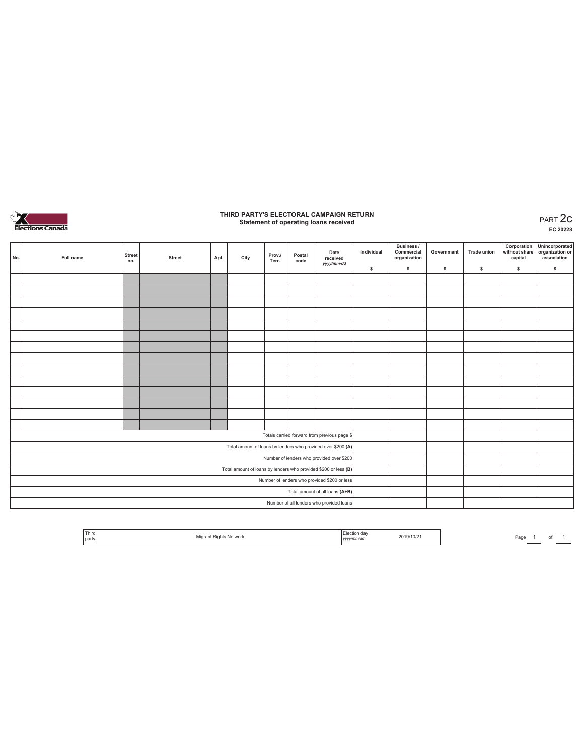

## **THIRD PARTY'S ELECTORAL CAMPAIGN RETURN Statement of operating loans received** PART 2c

**EC 20228**

|                                                                 | No. | Full name | <b>Street</b><br>no. | <b>Street</b> | Apt. | City | Prov./<br>Terr. | Postal<br>code | Date<br>received<br>yyyy/mm/dd           | Individual | <b>Business /</b><br>Commercial<br>organization | Government | <b>Trade union</b> | Corporation<br>without share<br>capital | Unincorporated<br>organization or<br>association |
|-----------------------------------------------------------------|-----|-----------|----------------------|---------------|------|------|-----------------|----------------|------------------------------------------|------------|-------------------------------------------------|------------|--------------------|-----------------------------------------|--------------------------------------------------|
|                                                                 |     |           |                      |               |      |      |                 |                |                                          | \$         | \$.                                             | \$         | s                  | \$                                      | $\mathbb S$                                      |
|                                                                 |     |           |                      |               |      |      |                 |                |                                          |            |                                                 |            |                    |                                         |                                                  |
|                                                                 |     |           |                      |               |      |      |                 |                |                                          |            |                                                 |            |                    |                                         |                                                  |
|                                                                 |     |           |                      |               |      |      |                 |                |                                          |            |                                                 |            |                    |                                         |                                                  |
|                                                                 |     |           |                      |               |      |      |                 |                |                                          |            |                                                 |            |                    |                                         |                                                  |
|                                                                 |     |           |                      |               |      |      |                 |                |                                          |            |                                                 |            |                    |                                         |                                                  |
|                                                                 |     |           |                      |               |      |      |                 |                |                                          |            |                                                 |            |                    |                                         |                                                  |
|                                                                 |     |           |                      |               |      |      |                 |                |                                          |            |                                                 |            |                    |                                         |                                                  |
|                                                                 |     |           |                      |               |      |      |                 |                |                                          |            |                                                 |            |                    |                                         |                                                  |
|                                                                 |     |           |                      |               |      |      |                 |                |                                          |            |                                                 |            |                    |                                         |                                                  |
|                                                                 |     |           |                      |               |      |      |                 |                |                                          |            |                                                 |            |                    |                                         |                                                  |
|                                                                 |     |           |                      |               |      |      |                 |                |                                          |            |                                                 |            |                    |                                         |                                                  |
|                                                                 |     |           |                      |               |      |      |                 |                |                                          |            |                                                 |            |                    |                                         |                                                  |
|                                                                 |     |           |                      |               |      |      |                 |                |                                          |            |                                                 |            |                    |                                         |                                                  |
|                                                                 |     |           |                      |               |      |      |                 |                |                                          |            |                                                 |            |                    |                                         |                                                  |
| Totals carried forward from previous page \$                    |     |           |                      |               |      |      |                 |                |                                          |            |                                                 |            |                    |                                         |                                                  |
| Total amount of loans by lenders who provided over \$200 (A)    |     |           |                      |               |      |      |                 |                |                                          |            |                                                 |            |                    |                                         |                                                  |
| Number of lenders who provided over \$200                       |     |           |                      |               |      |      |                 |                |                                          |            |                                                 |            |                    |                                         |                                                  |
| Total amount of loans by lenders who provided \$200 or less (B) |     |           |                      |               |      |      |                 |                |                                          |            |                                                 |            |                    |                                         |                                                  |
| Number of lenders who provided \$200 or less                    |     |           |                      |               |      |      |                 |                |                                          |            |                                                 |            |                    |                                         |                                                  |
|                                                                 |     |           |                      |               |      |      |                 |                | Total amount of all loans (A+B)          |            |                                                 |            |                    |                                         |                                                  |
|                                                                 |     |           |                      |               |      |      |                 |                | Number of all lenders who provided loans |            |                                                 |            |                    |                                         |                                                  |

|  | ' Third<br>l partv | Migrant Rights Network | Election dav<br>yy/mm/dd<br>,,,, | 2019/10/21 |
|--|--------------------|------------------------|----------------------------------|------------|
|--|--------------------|------------------------|----------------------------------|------------|

Page  $1$  of  $1$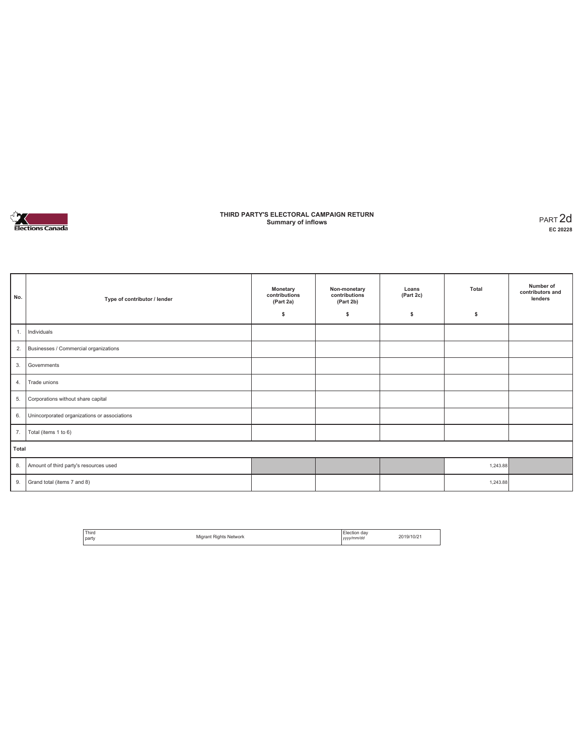

### **THIRD PARTY'S ELECTORAL CAMPAIGN RETURN Summary of inflows** PART 2d

| No.   | Type of contributor / lender                 | Monetary<br>contributions<br>(Part 2a)<br>\$ | Non-monetary<br>contributions<br>(Part 2b)<br>\$ | Loans<br>(Part 2c)<br>s | Total<br>\$ | Number of<br>contributors and<br>lenders |
|-------|----------------------------------------------|----------------------------------------------|--------------------------------------------------|-------------------------|-------------|------------------------------------------|
| 1.    | Individuals                                  |                                              |                                                  |                         |             |                                          |
| 2.    | Businesses / Commercial organizations        |                                              |                                                  |                         |             |                                          |
| 3.    | Governments                                  |                                              |                                                  |                         |             |                                          |
| 4.    | Trade unions                                 |                                              |                                                  |                         |             |                                          |
| 5.    | Corporations without share capital           |                                              |                                                  |                         |             |                                          |
| 6.    | Unincorporated organizations or associations |                                              |                                                  |                         |             |                                          |
| 7.    | Total (items 1 to 6)                         |                                              |                                                  |                         |             |                                          |
| Total |                                              |                                              |                                                  |                         |             |                                          |
| 8.    | Amount of third party's resources used       |                                              |                                                  |                         | 1,243.88    |                                          |
| 9.    | Grand total (items 7 and 8)                  |                                              |                                                  |                         | 1,243.88    |                                          |

| <sup>1</sup> Third<br>. |                        | Election day | 2019/10/21 |
|-------------------------|------------------------|--------------|------------|
| party                   | Migrant Rights Network | yyyy/mm/dd   |            |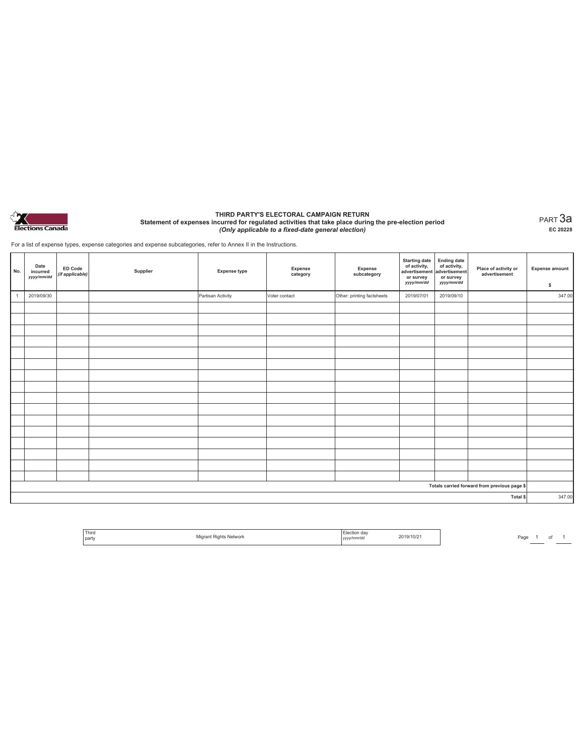

#### **THIRD PARTY'S ELECTORAL CAMPAIGN RETURN Statement of expenses incurred for regulated activities that take place during the pre-election period**  *(Only applicable to a fixed-date general election)*

PART 3a **EC 20228**

For a list of expense types, expense categories and expense subcategories, refer to Annex II in the Instructions.

| No.                                          | Date<br>incurred<br>yyyy/mm/dd | <b>ED Code</b><br>(if applicable) | Supplier | <b>Expense type</b> | <b>Expense</b><br>category | Expense<br>subcategory     | <b>Starting date</b><br>of activity,<br>advertisement<br>or survey<br>yyyy/mm/dd | Ending date<br>of activity,<br>advertisement<br>or survey<br>yyyy/mm/dd | Place of activity or<br>advertisement | <b>Expense amount</b><br>\$ |
|----------------------------------------------|--------------------------------|-----------------------------------|----------|---------------------|----------------------------|----------------------------|----------------------------------------------------------------------------------|-------------------------------------------------------------------------|---------------------------------------|-----------------------------|
| $\overline{1}$                               | 2019/09/30                     |                                   |          | Partisan Activity   | Voter contact              | Other: printing factsheets | 2019/07/01                                                                       | 2019/09/10                                                              |                                       | 347.00                      |
|                                              |                                |                                   |          |                     |                            |                            |                                                                                  |                                                                         |                                       |                             |
|                                              |                                |                                   |          |                     |                            |                            |                                                                                  |                                                                         |                                       |                             |
|                                              |                                |                                   |          |                     |                            |                            |                                                                                  |                                                                         |                                       |                             |
|                                              |                                |                                   |          |                     |                            |                            |                                                                                  |                                                                         |                                       |                             |
|                                              |                                |                                   |          |                     |                            |                            |                                                                                  |                                                                         |                                       |                             |
|                                              |                                |                                   |          |                     |                            |                            |                                                                                  |                                                                         |                                       |                             |
|                                              |                                |                                   |          |                     |                            |                            |                                                                                  |                                                                         |                                       |                             |
|                                              |                                |                                   |          |                     |                            |                            |                                                                                  |                                                                         |                                       |                             |
|                                              |                                |                                   |          |                     |                            |                            |                                                                                  |                                                                         |                                       |                             |
|                                              |                                |                                   |          |                     |                            |                            |                                                                                  |                                                                         |                                       |                             |
|                                              |                                |                                   |          |                     |                            |                            |                                                                                  |                                                                         |                                       |                             |
|                                              |                                |                                   |          |                     |                            |                            |                                                                                  |                                                                         |                                       |                             |
|                                              |                                |                                   |          |                     |                            |                            |                                                                                  |                                                                         |                                       |                             |
|                                              |                                |                                   |          |                     |                            |                            |                                                                                  |                                                                         |                                       |                             |
|                                              |                                |                                   |          |                     |                            |                            |                                                                                  |                                                                         |                                       |                             |
|                                              |                                |                                   |          |                     |                            |                            |                                                                                  |                                                                         |                                       |                             |
| Totals carried forward from previous page \$ |                                |                                   |          |                     |                            |                            |                                                                                  |                                                                         |                                       |                             |
|                                              |                                |                                   |          |                     |                            |                            |                                                                                  |                                                                         | Total \$                              | 347.00                      |

| Third   | .<br><b>NEIVYLIIN</b> | $\sim$<br>day   | 19/10/z |
|---------|-----------------------|-----------------|---------|
| l party |                       | v/mm/da<br>,,,, |         |

Page  $1$  of  $1$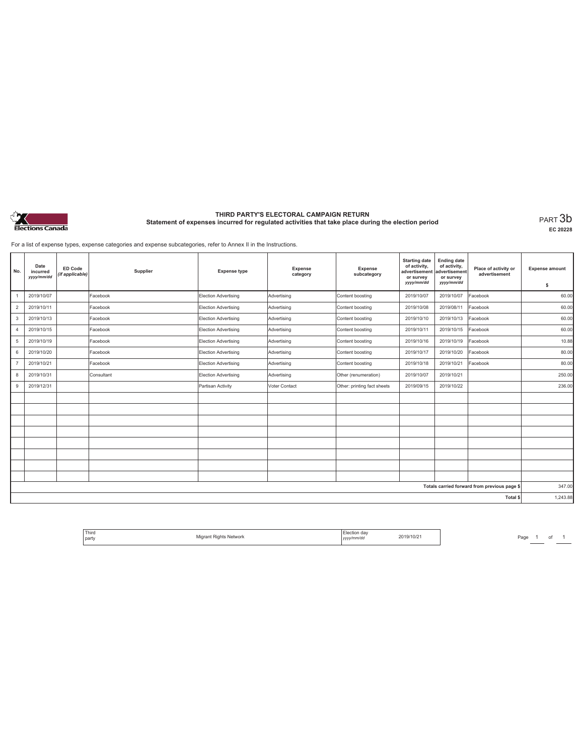

# **THIRD PARTY'S ELECTORAL CAMPAIGN RETURN Statement of expenses incurred for regulated activities that take place during the election period** PART 3b

**EC 20228**

For a list of expense types, expense categories and expense subcategories, refer to Annex II in the Instructions.

| No.                                          | Date<br>incurred<br>yyyy/mm/dd | <b>ED Code</b><br>(if applicable) | Supplier   | <b>Expense type</b>  | Expense<br>category | Expense<br>subcategory      | <b>Starting date</b><br>of activity,<br>advertisement<br>or survey<br>yyyy/mm/dd | <b>Ending date</b><br>of activity,<br>advertisement<br>or survey<br>yyyy/mm/dd | Place of activity or<br>advertisement | <b>Expense amount</b><br>\$ |
|----------------------------------------------|--------------------------------|-----------------------------------|------------|----------------------|---------------------|-----------------------------|----------------------------------------------------------------------------------|--------------------------------------------------------------------------------|---------------------------------------|-----------------------------|
|                                              | 2019/10/07                     |                                   | Facebook   | Election Advertising | Advertising         | Content boosting            | 2019/10/07                                                                       | 2019/10/07                                                                     | Facebook                              | 60.00                       |
| $\overline{2}$                               | 2019/10/11                     |                                   | Facebook   | Election Advertising | Advertising         | Content boosting            | 2019/10/08                                                                       | 2019/08/11                                                                     | Facebook                              | 60.00                       |
| 3                                            | 2019/10/13                     |                                   | Facebook   | Election Advertising | Advertising         | Content boosting            | 2019/10/10                                                                       | 2019/10/13                                                                     | Facebook                              | 60.00                       |
| 4                                            | 2019/10/15                     |                                   | Facebook   | Election Advertising | Advertising         | Content boosting            | 2019/10/11                                                                       | 2019/10/15                                                                     | Facebook                              | 60.00                       |
| 5                                            | 2019/10/19                     |                                   | Facebook   | Election Advertising | Advertising         | Content boosting            | 2019/10/16                                                                       | 2019/10/19                                                                     | Facebook                              | 10.88                       |
| 6                                            | 2019/10/20                     |                                   | Facebook   | Election Advertising | Advertising         | Content boosting            | 2019/10/17                                                                       | 2019/10/20                                                                     | Facebook                              | 80.00                       |
| $\overline{7}$                               | 2019/10/21                     |                                   | Facebook   | Election Advertising | Advertising         | Content boosting            | 2019/10/18                                                                       | 2019/10/21                                                                     | Facebook                              | 80.00                       |
| 8                                            | 2019/10/31                     |                                   | Consultant | Election Advertising | Advertising         | Other (renumeration)        | 2019/10/07                                                                       | 2019/10/21                                                                     |                                       | 250.00                      |
| 9                                            | 2019/12/31                     |                                   |            | Partisan Activity    | Voter Contact       | Other: printing fact sheets | 2019/09/15                                                                       | 2019/10/22                                                                     |                                       | 236.00                      |
|                                              |                                |                                   |            |                      |                     |                             |                                                                                  |                                                                                |                                       |                             |
|                                              |                                |                                   |            |                      |                     |                             |                                                                                  |                                                                                |                                       |                             |
|                                              |                                |                                   |            |                      |                     |                             |                                                                                  |                                                                                |                                       |                             |
|                                              |                                |                                   |            |                      |                     |                             |                                                                                  |                                                                                |                                       |                             |
|                                              |                                |                                   |            |                      |                     |                             |                                                                                  |                                                                                |                                       |                             |
|                                              |                                |                                   |            |                      |                     |                             |                                                                                  |                                                                                |                                       |                             |
|                                              |                                |                                   |            |                      |                     |                             |                                                                                  |                                                                                |                                       |                             |
|                                              |                                |                                   |            |                      |                     |                             |                                                                                  |                                                                                |                                       |                             |
| Totals carried forward from previous page \$ |                                |                                   |            |                      |                     |                             |                                                                                  | 347.00                                                                         |                                       |                             |
| Total \$                                     |                                |                                   |            |                      |                     |                             |                                                                                  | 1,243.88                                                                       |                                       |                             |

 $\begin{array}{|c|c|c|c|}\n\hline\n\text{Page} & 1 & \text{ of } & 1 \\
\hline\n\hline\n\end{array}$